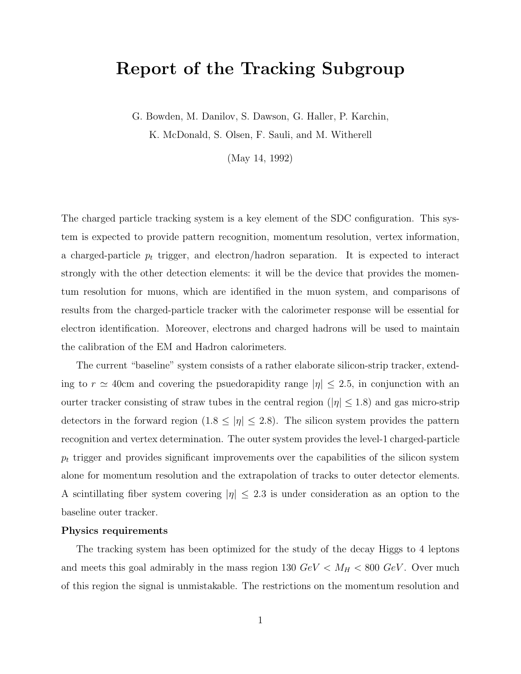# **Report of the Tracking Subgroup**

G. Bowden, M. Danilov, S. Dawson, G. Haller, P. Karchin, K. McDonald, S. Olsen, F. Sauli, and M. Witherell

(May 14, 1992)

The charged particle tracking system is a key element of the SDC configuration. This system is expected to provide pattern recognition, momentum resolution, vertex information, a charged-particle <sup>p</sup>*<sup>t</sup>* trigger, and electron/hadron separation. It is expected to interact strongly with the other detection elements: it will be the device that provides the momentum resolution for muons, which are identified in the muon system, and comparisons of results from the charged-particle tracker with the calorimeter response will be essential for electron identification. Moreover, electrons and charged hadrons will be used to maintain the calibration of the EM and Hadron calorimeters.

The current "baseline" system consists of a rather elaborate silicon-strip tracker, extending to  $r \simeq 40$ cm and covering the psuedorapidity range  $|\eta| \leq 2.5$ , in conjunction with an ourter tracker consisting of straw tubes in the central region ( $|\eta| \leq 1.8$ ) and gas micro-strip detectors in the forward region  $(1.8 \le |\eta| \le 2.8)$ . The silicon system provides the pattern recognition and vertex determination. The outer system provides the level-1 charged-particle <sup>p</sup>*<sup>t</sup>* trigger and provides significant improvements over the capabilities of the silicon system alone for momentum resolution and the extrapolation of tracks to outer detector elements. A scintillating fiber system covering  $|\eta| \leq 2.3$  is under consideration as an option to the baseline outer tracker.

#### **Physics requirements**

The tracking system has been optimized for the study of the decay Higgs to 4 leptons and meets this goal admirably in the mass region 130  $GeV < M_H < 800 \ GeV$ . Over much of this region the signal is unmistakable. The restrictions on the momentum resolution and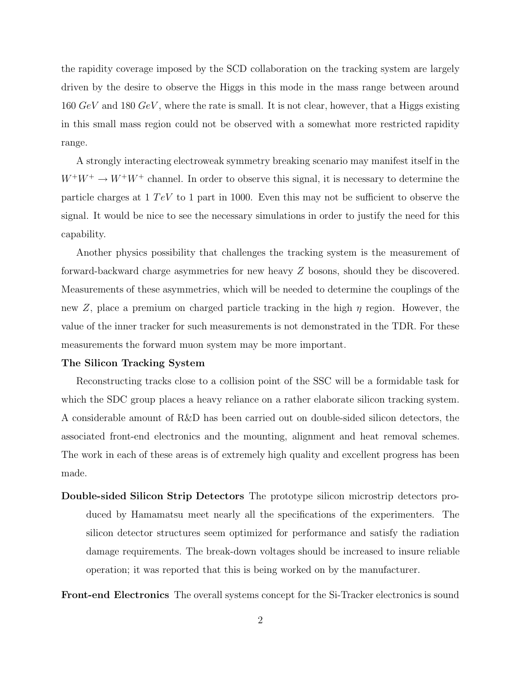the rapidity coverage imposed by the SCD collaboration on the tracking system are largely driven by the desire to observe the Higgs in this mode in the mass range between around  $160 \text{ GeV}$  and  $180 \text{ GeV}$ , where the rate is small. It is not clear, however, that a Higgs existing in this small mass region could not be observed with a somewhat more restricted rapidity range.

A strongly interacting electroweak symmetry breaking scenario may manifest itself in the  $W^+W^+ \to W^+W^+$  channel. In order to observe this signal, it is necessary to determine the particle charges at  $1 TeV$  to 1 part in 1000. Even this may not be sufficient to observe the signal. It would be nice to see the necessary simulations in order to justify the need for this capability.

Another physics possibility that challenges the tracking system is the measurement of forward-backward charge asymmetries for new heavy Z bosons, should they be discovered. Measurements of these asymmetries, which will be needed to determine the couplings of the new Z, place a premium on charged particle tracking in the high  $\eta$  region. However, the value of the inner tracker for such measurements is not demonstrated in the TDR. For these measurements the forward muon system may be more important.

#### **The Silicon Tracking System**

Reconstructing tracks close to a collision point of the SSC will be a formidable task for which the SDC group places a heavy reliance on a rather elaborate silicon tracking system. A considerable amount of R&D has been carried out on double-sided silicon detectors, the associated front-end electronics and the mounting, alignment and heat removal schemes. The work in each of these areas is of extremely high quality and excellent progress has been made.

**Double-sided Silicon Strip Detectors** The prototype silicon microstrip detectors produced by Hamamatsu meet nearly all the specifications of the experimenters. The silicon detector structures seem optimized for performance and satisfy the radiation damage requirements. The break-down voltages should be increased to insure reliable operation; it was reported that this is being worked on by the manufacturer.

**Front-end Electronics** The overall systems concept for the Si-Tracker electronics is sound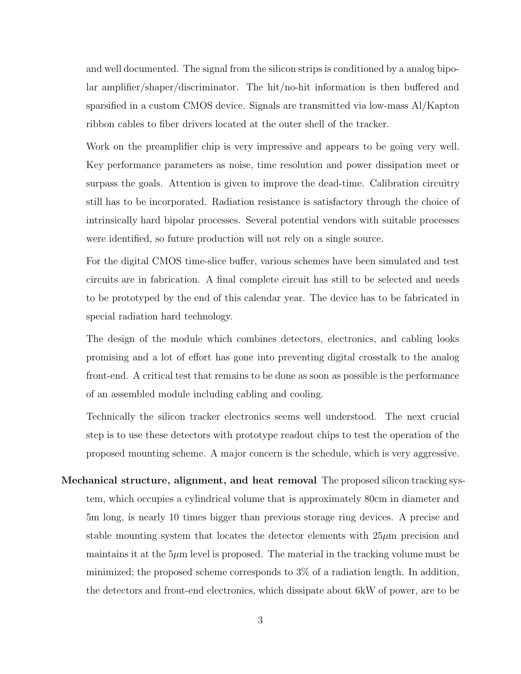and well documented. The signal from the silicon strips is conditioned by a analog bipolar amplifier/shaper/discriminator. The hit/no-hit information is then buffered and sparsified in a custom CMOS device. Signals are transmitted via low-mass Al/Kapton ribbon cables to fiber drivers located at the outer shell of the tracker.

Work on the preamplifier chip is very impressive and appears to be going very well. Key performance parameters as noise, time resolution and power dissipation meet or surpass the goals. Attention is given to improve the dead-time. Calibration circuitry still has to be incorporated. Radiation resistance is satisfactory through the choice of intrinsically hard bipolar processes. Several potential vendors with suitable processes were identified, so future production will not rely on a single source.

For the digital CMOS time-slice buffer, various schemes have been simulated and test circuits are in fabrication. A final complete circuit has still to be selected and needs to be prototyped by the end of this calendar year. The device has to be fabricated in special radiation hard technology.

The design of the module which combines detectors, electronics, and cabling looks promising and a lot of effort has gone into preventing digital crosstalk to the analog front-end. A critical test that remains to be done as soon as possible is the performance of an assembled module including cabling and cooling.

Technically the silicon tracker electronics seems well understood. The next crucial step is to use these detectors with prototype readout chips to test the operation of the proposed mounting scheme. A major concern is the schedule, which is very aggressive.

**Mechanical structure, alignment, and heat removal** The proposed silicon tracking system, which occupies a cylindrical volume that is approximately 80cm in diameter and 5m long, is nearly 10 times bigger than previous storage ring devices. A precise and stable mounting system that locates the detector elements with  $25\mu$ m precision and maintains it at the  $5\mu$ m level is proposed. The material in the tracking volume must be minimized; the proposed scheme corresponds to 3% of a radiation length. In addition, the detectors and front-end electronics, which dissipate about 6kW of power, are to be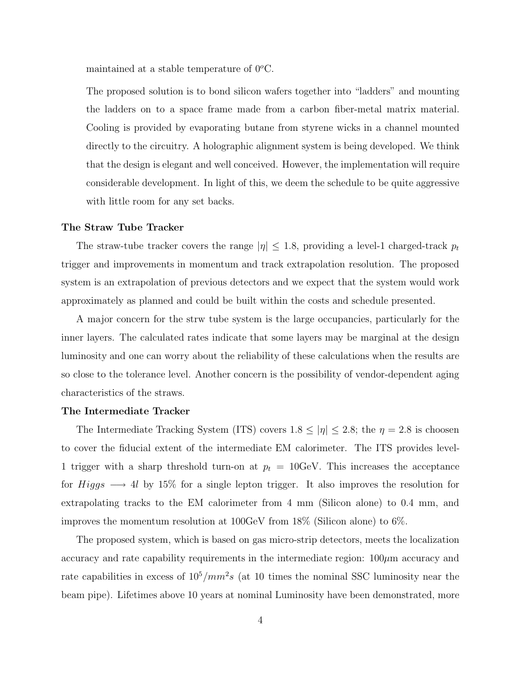maintained at a stable temperature of 0*<sup>o</sup>*C.

The proposed solution is to bond silicon wafers together into "ladders" and mounting the ladders on to a space frame made from a carbon fiber-metal matrix material. Cooling is provided by evaporating butane from styrene wicks in a channel mounted directly to the circuitry. A holographic alignment system is being developed. We think that the design is elegant and well conceived. However, the implementation will require considerable development. In light of this, we deem the schedule to be quite aggressive with little room for any set backs.

#### **The Straw Tube Tracker**

The straw-tube tracker covers the range  $|\eta| \leq 1.8$ , providing a level-1 charged-track  $p_t$ trigger and improvements in momentum and track extrapolation resolution. The proposed system is an extrapolation of previous detectors and we expect that the system would work approximately as planned and could be built within the costs and schedule presented.

A major concern for the strw tube system is the large occupancies, particularly for the inner layers. The calculated rates indicate that some layers may be marginal at the design luminosity and one can worry about the reliability of these calculations when the results are so close to the tolerance level. Another concern is the possibility of vendor-dependent aging characteristics of the straws.

## **The Intermediate Tracker**

The Intermediate Tracking System (ITS) covers  $1.8 \le |\eta| \le 2.8$ ; the  $\eta = 2.8$  is choosen to cover the fiducial extent of the intermediate EM calorimeter. The ITS provides level-1 trigger with a sharp threshold turn-on at  $p_t = 10 \text{GeV}$ . This increases the acceptance for  $Higgs \longrightarrow 4l$  by 15% for a single lepton trigger. It also improves the resolution for extrapolating tracks to the EM calorimeter from 4 mm (Silicon alone) to 0.4 mm, and improves the momentum resolution at 100GeV from 18% (Silicon alone) to 6%.

The proposed system, which is based on gas micro-strip detectors, meets the localization accuracy and rate capability requirements in the intermediate region:  $100\mu$ m accuracy and rate capabilities in excess of  $10^5/mm^2s$  (at 10 times the nominal SSC luminosity near the beam pipe). Lifetimes above 10 years at nominal Luminosity have been demonstrated, more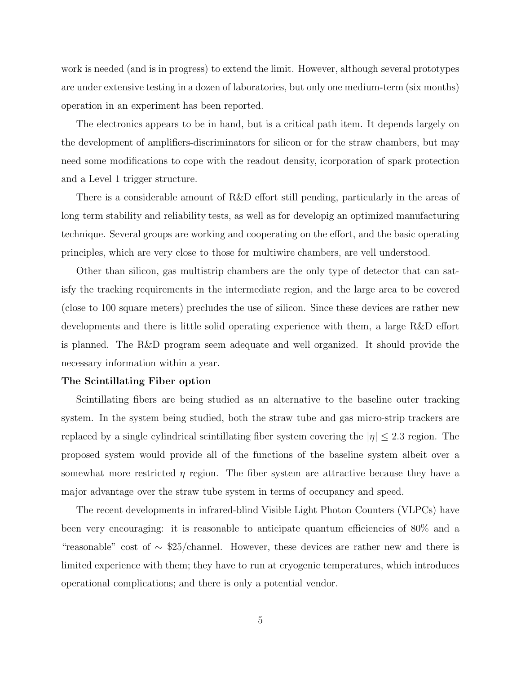work is needed (and is in progress) to extend the limit. However, although several prototypes are under extensive testing in a dozen of laboratories, but only one medium-term (six months) operation in an experiment has been reported.

The electronics appears to be in hand, but is a critical path item. It depends largely on the development of amplifiers-discriminators for silicon or for the straw chambers, but may need some modifications to cope with the readout density, icorporation of spark protection and a Level 1 trigger structure.

There is a considerable amount of R&D effort still pending, particularly in the areas of long term stability and reliability tests, as well as for developig an optimized manufacturing technique. Several groups are working and cooperating on the effort, and the basic operating principles, which are very close to those for multiwire chambers, are vell understood.

Other than silicon, gas multistrip chambers are the only type of detector that can satisfy the tracking requirements in the intermediate region, and the large area to be covered (close to 100 square meters) precludes the use of silicon. Since these devices are rather new developments and there is little solid operating experience with them, a large R&D effort is planned. The R&D program seem adequate and well organized. It should provide the necessary information within a year.

# **The Scintillating Fiber option**

Scintillating fibers are being studied as an alternative to the baseline outer tracking system. In the system being studied, both the straw tube and gas micro-strip trackers are replaced by a single cylindrical scintillating fiber system covering the  $|\eta| \leq 2.3$  region. The proposed system would provide all of the functions of the baseline system albeit over a somewhat more restricted  $\eta$  region. The fiber system are attractive because they have a major advantage over the straw tube system in terms of occupancy and speed.

The recent developments in infrared-blind Visible Light Photon Counters (VLPCs) have been very encouraging: it is reasonable to anticipate quantum efficiencies of 80% and a "reasonable" cost of ∼ \$25/channel. However, these devices are rather new and there is limited experience with them; they have to run at cryogenic temperatures, which introduces operational complications; and there is only a potential vendor.